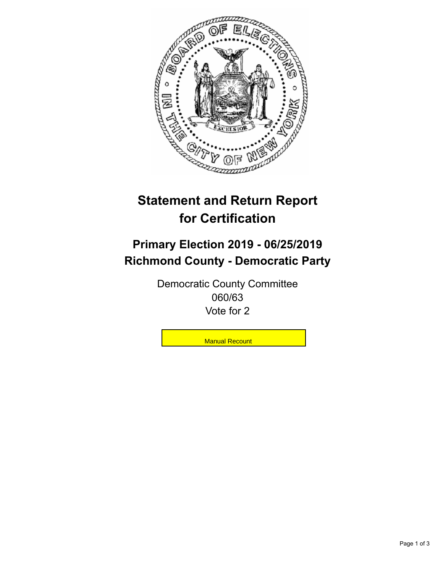

## **Statement and Return Report for Certification**

## **Primary Election 2019 - 06/25/2019 Richmond County - Democratic Party**

Democratic County Committee 060/63 Vote for 2

**Manual Recount**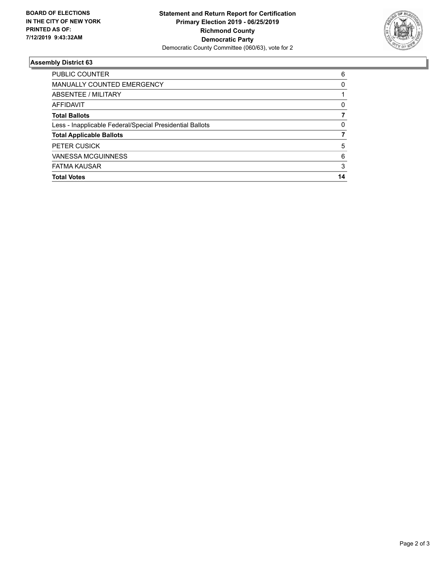

## **Assembly District 63**

| <b>Total Votes</b>                                       | 14       |
|----------------------------------------------------------|----------|
| <b>FATMA KAUSAR</b>                                      | 3        |
| <b>VANESSA MCGUINNESS</b>                                | 6        |
| <b>PETER CUSICK</b>                                      | 5        |
| <b>Total Applicable Ballots</b>                          |          |
| Less - Inapplicable Federal/Special Presidential Ballots | 0        |
| <b>Total Ballots</b>                                     |          |
| AFFIDAVIT                                                | 0        |
| ABSENTEE / MILITARY                                      |          |
| <b>MANUALLY COUNTED EMERGENCY</b>                        | $\Omega$ |
| <b>PUBLIC COUNTER</b>                                    | 6        |